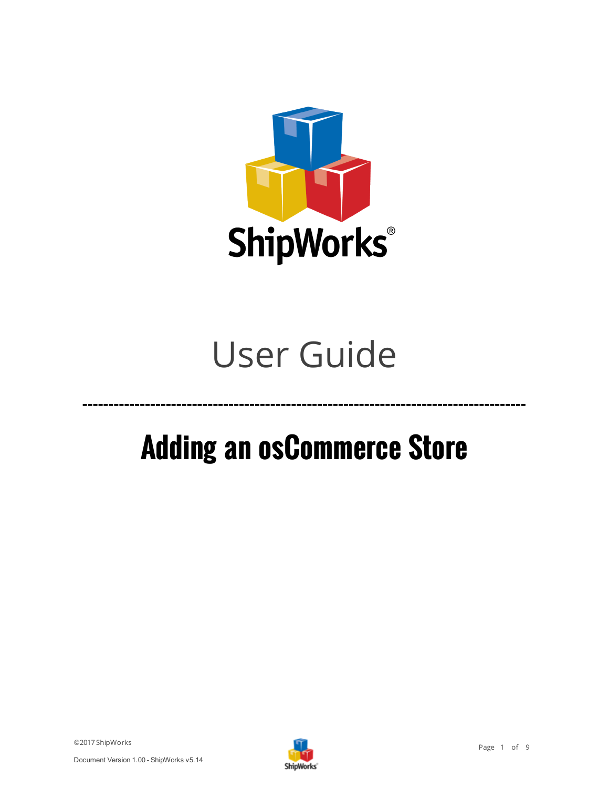

# User Guide

# **Adding an osCommerce Store**

©2017 ShipWorks



**-------------------------------------------------------------------------------------**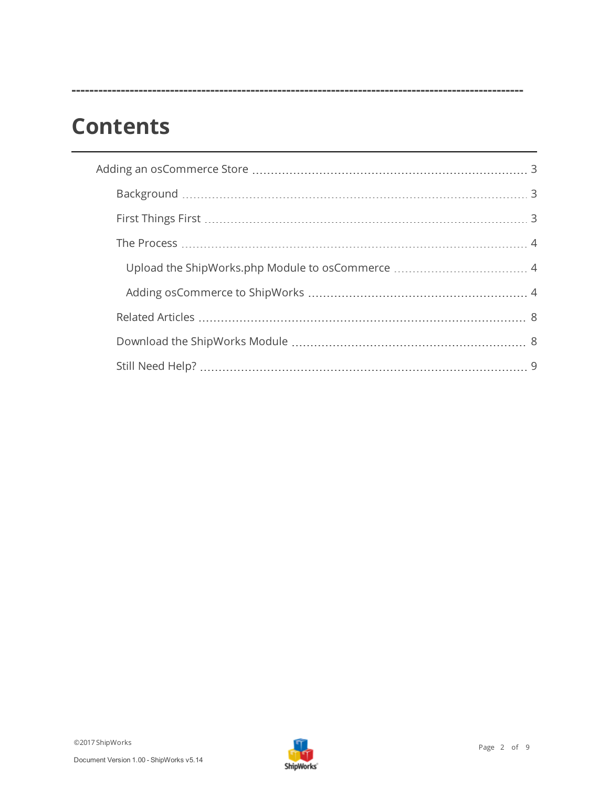# **Contents**

**-----------------------------------------------------------------------------------------------------**

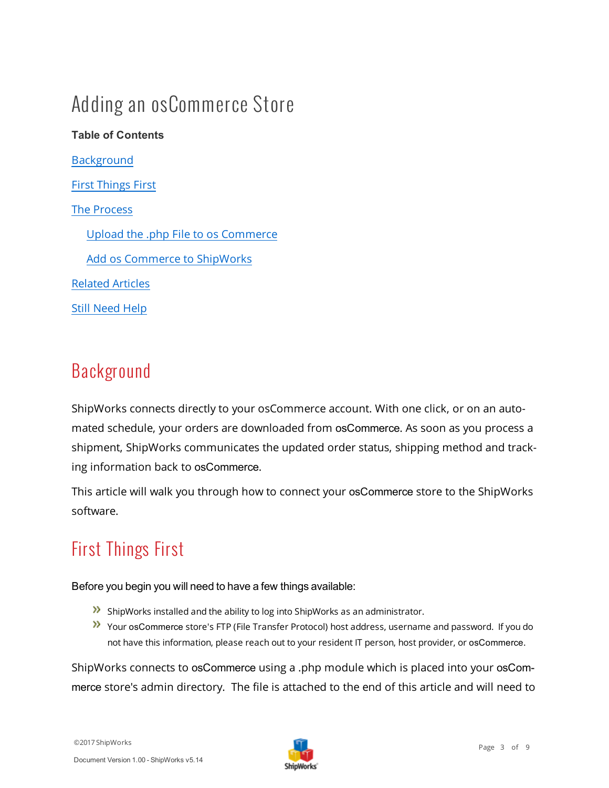# <span id="page-2-0"></span>Adding an osCommerce Store

## **Table of Contents [Background](#page-2-1)** First [Things](#page-2-2) First The [Process](#page-3-0) Upload the .php File to os Commerce Add os Commerce to ShipWorks [Related](#page-7-0) Articles Still Need Help

### <span id="page-2-1"></span>Background

ShipWorks connects directly to your osCommerce account. With one click, or on an automated schedule, your orders are downloaded from osCommerce. As soon as you process a shipment, ShipWorks communicates the updated order status, shipping method and tracking information back to osCommerce.

<span id="page-2-2"></span>This article will walk you through how to connect your osCommerce store to the ShipWorks software.

## First Things First

Before you begin you will need to have a few things available:

- ShipWorks installed and the ability to log into ShipWorks as an administrator.
- Your osCommerce store's FTP (File Transfer Protocol) host address, username and password. If you do not have this information, please reach out to your resident IT person, host provider, or osCommerce.

ShipWorks connects to osCommerce using a .php module which is placed into your osCommerce store's admin directory. The file is attached to the end of this article and will need to

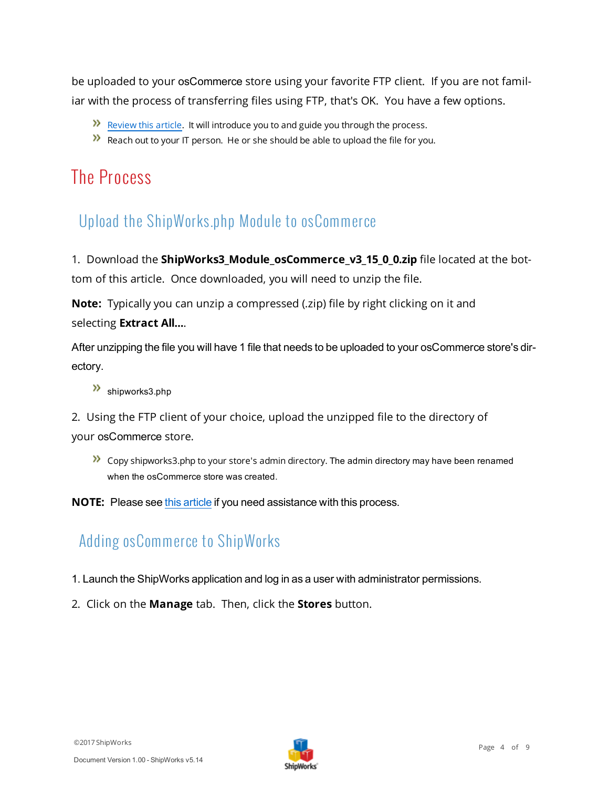be uploaded to your osCommerce store using your favorite FTP client. If you are not familiar with the process of transferring files using FTP, that's OK. You have a few options.

- $\mathcal{P}$  Review this article. It will introduce you to and guide you through the process.
- <span id="page-3-0"></span> $\lambda$  Reach out to your IT person. He or she should be able to upload the file for you.

#### <span id="page-3-1"></span>The Process

#### Upload the ShipWorks.php Module to osCommerce

1. Download the **ShipWorks3\_Module\_osCommerce\_v3\_15\_0\_0.zip** file located at the bottom of this article. Once downloaded, you will need to unzip the file.

**Note:** Typically you can unzip a compressed (.zip) file by right clicking on it and selecting **Extract All...**.

After unzipping the file you will have 1 file that needs to be uploaded to your osCommerce store's directory.

>>> shipworks3.php

2. Using the FTP client of your choice, upload the unzipped file to the directory of your osCommerce store.

 $\sum$  Copy shipworks3.php to your store's admin directory. The admin directory may have been renamed when the osCommerce store was created.

<span id="page-3-2"></span>**NOTE:** Please see this article if you need assistance with this process.

#### Adding osCommerce to ShipWorks

- 1. Launch the ShipWorks application and log in as a user with administrator permissions.
- 2. Click on the **Manage** tab. Then, click the **Stores** button.

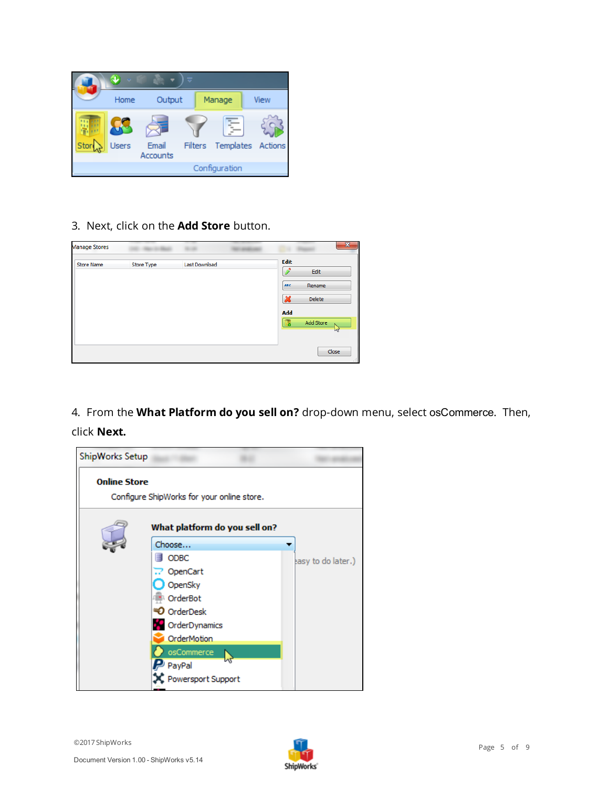

3. Next, click on the **Add Store** button.

| <b>Manage Stores</b> |            |               |                                                                   | x |
|----------------------|------------|---------------|-------------------------------------------------------------------|---|
| <b>Store Name</b>    | Store Type | Last Download | Edit<br>Edit                                                      |   |
|                      |            |               | <b>ABC</b><br>Rename<br>$\boldsymbol{\varkappa}$<br><b>Delete</b> |   |
|                      |            |               | Add<br>Add Store<br>醌<br>$h\tau$                                  |   |
|                      |            |               | Close                                                             |   |

4. From the **What Platform do you sell on?** drop-down menu, select osCommerce. Then, click **Next.**



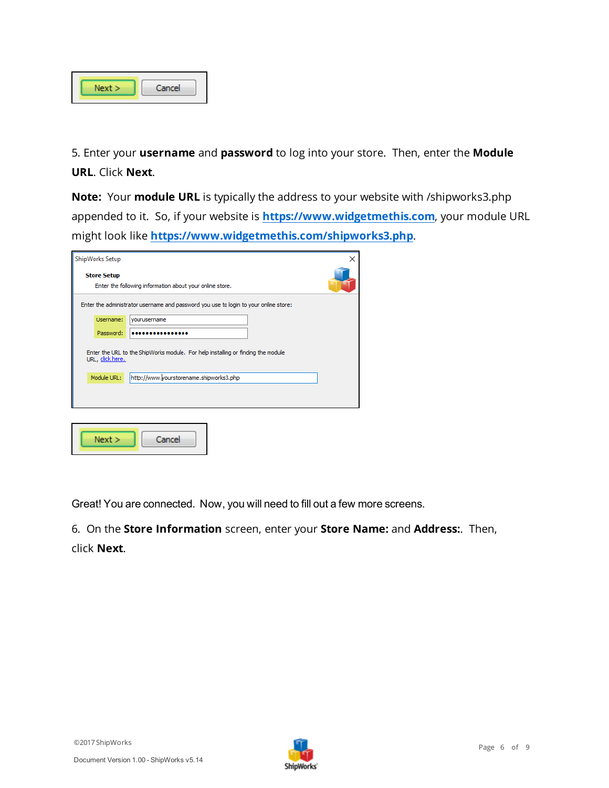| Cancel |
|--------|
|        |

5. Enter your **username** and **password** to log into your store. Then, enter the **Module URL**. Click **Next**.

**Note:** Your **module URL** is typically the address to your website with /shipworks3.php appended to it. So, if your website is **[https://www.widgetmethis.com](https://www.widgetmethis.com/)**, your module URL might look like **<https://www.widgetmethis.com/shipworks3.php>**.

| ShipWorks Setup                                                                                      | × |  |  |  |  |
|------------------------------------------------------------------------------------------------------|---|--|--|--|--|
| <b>Store Setup</b><br>Enter the following information about your online store.                       |   |  |  |  |  |
| Enter the administrator username and password you use to login to your online store:                 |   |  |  |  |  |
| Username:<br>vourusername                                                                            |   |  |  |  |  |
| Password:                                                                                            |   |  |  |  |  |
| Enter the URL to the ShipWorks module. For help installing or finding the module<br>URL, click here. |   |  |  |  |  |
| http://www.yourstorename.shipworks3.php<br>Module URL:                                               |   |  |  |  |  |
|                                                                                                      |   |  |  |  |  |
|                                                                                                      |   |  |  |  |  |
|                                                                                                      |   |  |  |  |  |
| Next ><br>Cancel                                                                                     |   |  |  |  |  |

Great! You are connected. Now, you will need to fill out a few more screens.

6. On the **Store Information** screen, enter your **Store Name:** and **Address:**. Then, click **Next**.

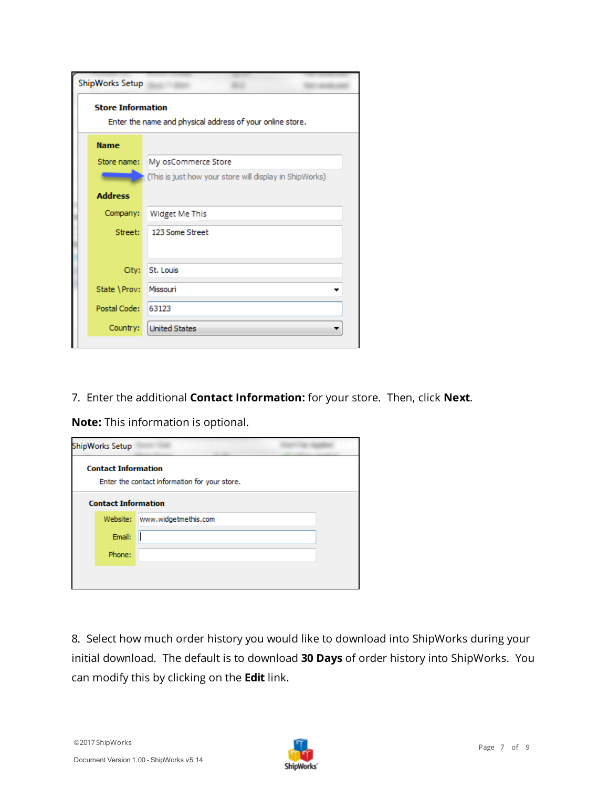| ShipWorks Setup                                                                       |                                                         |  |  |  |
|---------------------------------------------------------------------------------------|---------------------------------------------------------|--|--|--|
| <b>Store Information</b><br>Enter the name and physical address of your online store. |                                                         |  |  |  |
| <b>Name</b>                                                                           |                                                         |  |  |  |
| Store name:                                                                           | My osCommerce Store                                     |  |  |  |
|                                                                                       | (This is just how your store will display in ShipWorks) |  |  |  |
| <b>Address</b>                                                                        |                                                         |  |  |  |
| Company:                                                                              | Widget Me This                                          |  |  |  |
| Street:                                                                               | 123 Some Street                                         |  |  |  |
| City:                                                                                 | St. Louis                                               |  |  |  |
| State \Prov:                                                                          | Missouri                                                |  |  |  |
| Postal Code:                                                                          | 63123                                                   |  |  |  |
| Country:                                                                              | <b>United States</b>                                    |  |  |  |
|                                                                                       |                                                         |  |  |  |

7. Enter the additional **Contact Information:** for your store. Then, click **Next**.

**Note:** This information is optional.

| ShipWorks Setup            |                                               |  |
|----------------------------|-----------------------------------------------|--|
| <b>Contact Information</b> | Enter the contact information for your store. |  |
| <b>Contact Information</b> |                                               |  |
| Website:                   | www.widgetmethis.com                          |  |
| Email:                     |                                               |  |
| Phone:                     |                                               |  |
|                            |                                               |  |
|                            |                                               |  |

8. Select how much order history you would like to download into ShipWorks during your initial download. The default is to download **30 Days** of order history into ShipWorks. You can modify this by clicking on the **Edit** link.

©2017 ShipWorks

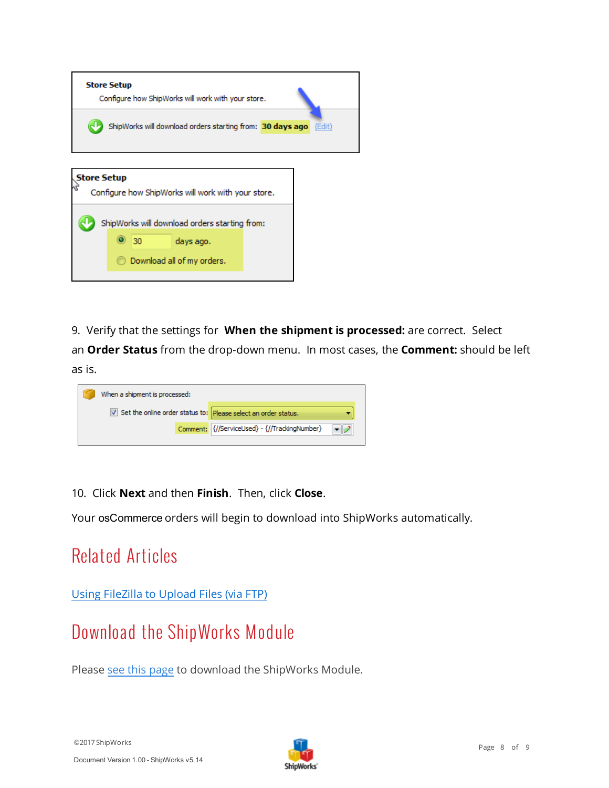| <b>Store Setup</b><br>Configure how ShipWorks will work with your store. |        |  |  |  |
|--------------------------------------------------------------------------|--------|--|--|--|
| ShipWorks will download orders starting from: 30 days ago                | (Edit) |  |  |  |
| <b>Store Setup</b><br>Configure how ShipWorks will work with your store. |        |  |  |  |
| ShipWorks will download orders starting from:                            |        |  |  |  |
| 30<br>days ago.                                                          |        |  |  |  |
| Download all of my orders.                                               |        |  |  |  |
|                                                                          |        |  |  |  |

9. Verify that the settings for **When the shipment is processed:** are correct. Select

an **Order Status** from the drop-down menu. In most cases, the **Comment:** should be left as is.

| When a shipment is processed:                                                  |  |                                               |  |
|--------------------------------------------------------------------------------|--|-----------------------------------------------|--|
| $\triangledown$ Set the online order status to: Please select an order status. |  |                                               |  |
|                                                                                |  | Comment: {//ServiceUsed} - {//TrackingNumber} |  |

10. Click **Next** and then **Finish**. Then, click **Close**.

<span id="page-7-0"></span>Your osCommerce orders will begin to download into ShipWorks automatically.

## Related Articles

<span id="page-7-1"></span>Using FileZilla to Upload Files (via FTP)

### Download the ShipWorks Module

Please see this [page](http://support.shipworks.com/support/solutions/articles/129340-adding-an-oscommerce-store-) to download the ShipWorks Module.

©2017 ShipWorks